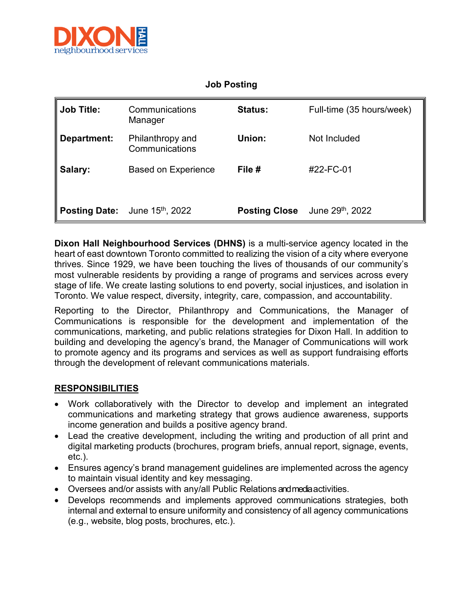

## **Job Posting**

| Job Title:  | Communications<br>Manager                         | <b>Status:</b>       | Full-time (35 hours/week)    |
|-------------|---------------------------------------------------|----------------------|------------------------------|
| Department: | Philanthropy and<br>Communications                | Union:               | Not Included                 |
| Salary:     | <b>Based on Experience</b>                        | File #               | #22-FC-01                    |
|             | <b>Posting Date:</b> June 15 <sup>th</sup> , 2022 | <b>Posting Close</b> | June 29 <sup>th</sup> , 2022 |

**Dixon Hall Neighbourhood Services (DHNS)** is a multi-service agency located in the heart of east downtown Toronto committed to realizing the vision of a city where everyone thrives. Since 1929, we have been touching the lives of thousands of our community's most vulnerable residents by providing a range of programs and services across every stage of life. We create lasting solutions to end poverty, social injustices, and isolation in Toronto. We value respect, diversity, integrity, care, compassion, and accountability.

Reporting to the Director, Philanthropy and Communications, the Manager of Communications is responsible for the development and implementation of the communications, marketing, and public relations strategies for Dixon Hall. In addition to building and developing the agency's brand, the Manager of Communications will work to promote agency and its programs and services as well as support fundraising efforts through the development of relevant communications materials.

## **RESPONSIBILITIES**

- Work collaboratively with the Director to develop and implement an integrated communications and marketing strategy that grows audience awareness, supports income generation and builds a positive agency brand.
- Lead the creative development, including the writing and production of all print and digital marketing products (brochures, program briefs, annual report, signage, events, etc.).
- Ensures agency's brand management guidelines are implemented across the agency to maintain visual identity and key messaging.
- Oversees and/or assists with any/all Public Relations and media activities.
- Develops recommends and implements approved communications strategies, both internal and external to ensure uniformity and consistency of all agency communications (e.g., website, blog posts, brochures, etc.).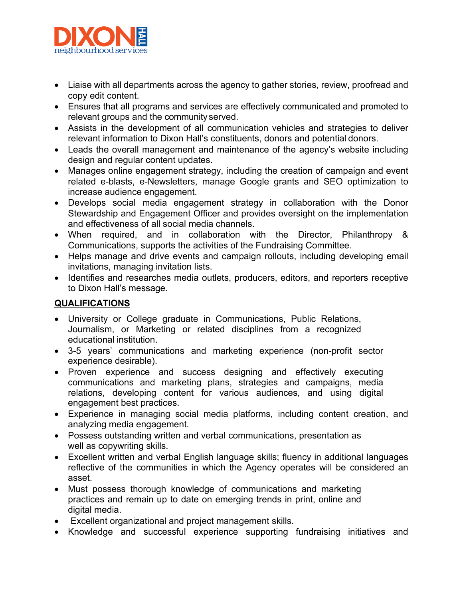

- Liaise with all departments across the agency to gather stories, review, proofread and copy edit content.
- Ensures that all programs and services are effectively communicated and promoted to relevant groups and the community served.
- Assists in the development of all communication vehicles and strategies to deliver relevant information to Dixon Hall's constituents, donors and potential donors.
- Leads the overall management and maintenance of the agency's website including design and regular content updates.
- Manages online engagement strategy, including the creation of campaign and event related e-blasts, e-Newsletters, manage Google grants and SEO optimization to increase audience engagement.
- Develops social media engagement strategy in collaboration with the Donor Stewardship and Engagement Officer and provides oversight on the implementation and effectiveness of all social media channels.
- When required, and in collaboration with the Director, Philanthropy & Communications, supports the activities of the Fundraising Committee.
- Helps manage and drive events and campaign rollouts, including developing email invitations, managing invitation lists.
- Identifies and researches media outlets, producers, editors, and reporters receptive to Dixon Hall's message.

## **QUALIFICATIONS**

- University or College graduate in Communications, Public Relations, Journalism, or Marketing or related disciplines from a recognized educational institution.
- 3-5 years' communications and marketing experience (non-profit sector experience desirable).
- Proven experience and success designing and effectively executing communications and marketing plans, strategies and campaigns, media relations, developing content for various audiences, and using digital engagement best practices.
- Experience in managing social media platforms, including content creation, and analyzing media engagement.
- Possess outstanding written and verbal communications, presentation as well as copywriting skills.
- Excellent written and verbal English language skills; fluency in additional languages reflective of the communities in which the Agency operates will be considered an asset.
- Must possess thorough knowledge of communications and marketing practices and remain up to date on emerging trends in print, online and digital media.
- Excellent organizational and project management skills.
- Knowledge and successful experience supporting fundraising initiatives and